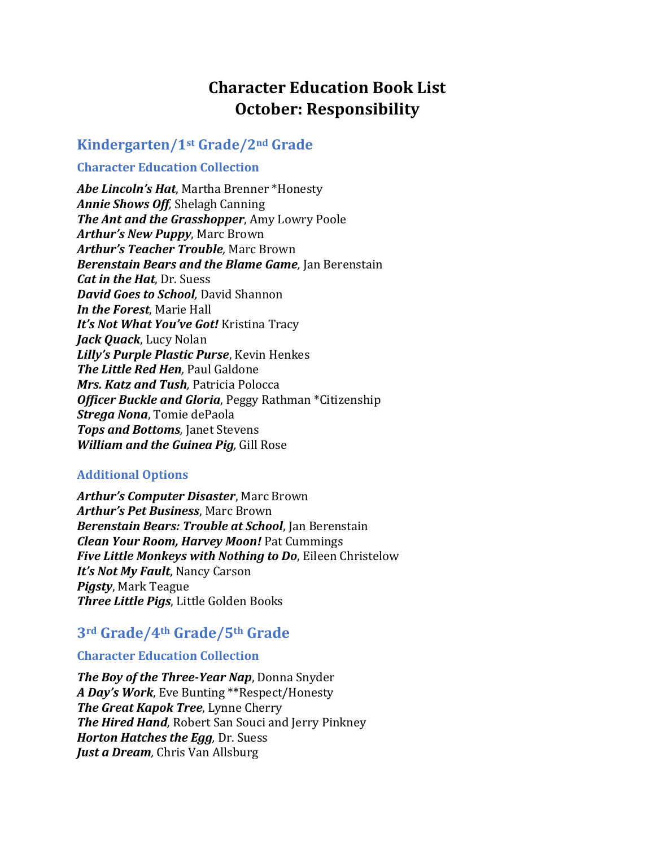# **Character Education Book List October: Responsibility**

# **Kindergarten/1st Grade/2nd Grade**

### **Character Education Collection**

*Abe Lincoln's Hat*, Martha Brenner \*Honesty *Annie Shows Off,* Shelagh Canning *The Ant and the Grasshopper*, Amy Lowry Poole *Arthur's New Puppy*, Marc Brown *Arthur's Teacher Trouble,* Marc Brown *Berenstain Bears and the Blame Game,* Jan Berenstain *Cat in the Hat*, Dr. Suess *David Goes to School,* David Shannon *In the Forest*, Marie Hall *It's Not What You've Got!* Kristina Tracy *Jack Quack*, Lucy Nolan *Lilly's Purple Plastic Purse*, Kevin Henkes *The Little Red Hen,* Paul Galdone *Mrs. Katz and Tush,* Patricia Polocca *Officer Buckle and Gloria*, Peggy Rathman \*Citizenship *Strega Nona*, Tomie dePaola *Tops and Bottoms*, Janet Stevens *William and the Guinea Pig,* Gill Rose

## **Additional Options**

*Arthur's Computer Disaster*, Marc Brown *Arthur's Pet Business*, Marc Brown *Berenstain Bears: Trouble at School*, Jan Berenstain *Clean Your Room, Harvey Moon!* Pat Cummings *Five Little Monkeys with Nothing to Do*, Eileen Christelow *It's Not My Fault*, Nancy Carson *Pigsty*, Mark Teague *Three Little Pigs*, Little Golden Books

# **3rd Grade/4th Grade/5th Grade**

#### **Character Education Collection**

*The Boy of the Three-Year Nap*, Donna Snyder *A Day's Work*, Eve Bunting \*\*Respect/Honesty *The Great Kapok Tree*, Lynne Cherry *The Hired Hand,* Robert San Souci and Jerry Pinkney *Horton Hatches the Egg,* Dr. Suess *Just a Dream,* Chris Van Allsburg